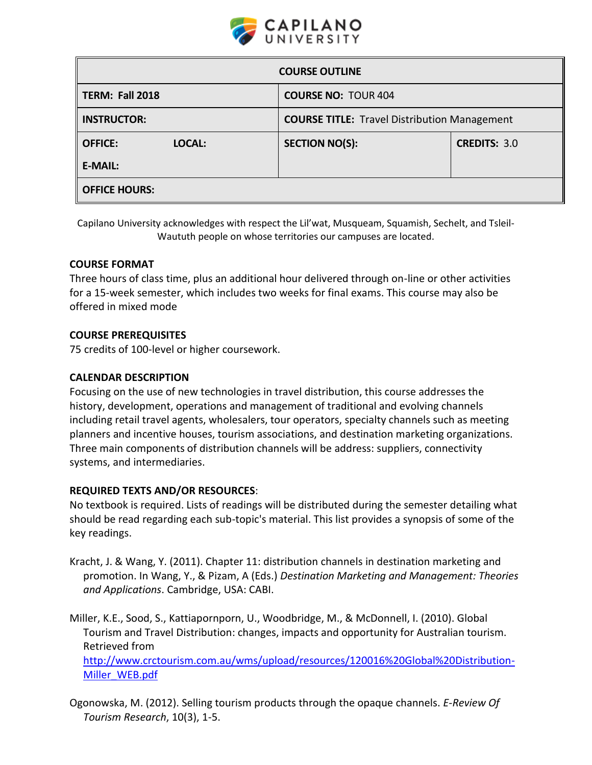

| <b>COURSE OUTLINE</b>    |                                                     |                     |  |  |
|--------------------------|-----------------------------------------------------|---------------------|--|--|
| TERM: Fall 2018          | <b>COURSE NO: TOUR 404</b>                          |                     |  |  |
| <b>INSTRUCTOR:</b>       | <b>COURSE TITLE:</b> Travel Distribution Management |                     |  |  |
| <b>OFFICE:</b><br>LOCAL: | <b>SECTION NO(S):</b>                               | <b>CREDITS: 3.0</b> |  |  |
| <b>E-MAIL:</b>           |                                                     |                     |  |  |
| <b>OFFICE HOURS:</b>     |                                                     |                     |  |  |

Capilano University acknowledges with respect the Lil'wat, Musqueam, Squamish, Sechelt, and Tsleil-Waututh people on whose territories our campuses are located.

#### **COURSE FORMAT**

Three hours of class time, plus an additional hour delivered through on-line or other activities for a 15-week semester, which includes two weeks for final exams. This course may also be offered in mixed mode

#### **COURSE PREREQUISITES**

75 credits of 100-level or higher coursework.

#### **CALENDAR DESCRIPTION**

Focusing on the use of new technologies in travel distribution, this course addresses the history, development, operations and management of traditional and evolving channels including retail travel agents, wholesalers, tour operators, specialty channels such as meeting planners and incentive houses, tourism associations, and destination marketing organizations. Three main components of distribution channels will be address: suppliers, connectivity systems, and intermediaries.

#### **REQUIRED TEXTS AND/OR RESOURCES**:

No textbook is required. Lists of readings will be distributed during the semester detailing what should be read regarding each sub-topic's material. This list provides a synopsis of some of the key readings.

- Kracht, J. & Wang, Y. (2011). Chapter 11: distribution channels in destination marketing and promotion. In Wang, Y., & Pizam, A (Eds.) *Destination Marketing and Management: Theories and Applications*. Cambridge, USA: CABI.
- Miller, K.E., Sood, S., Kattiapornporn, U., Woodbridge, M., & McDonnell, I. (2010). Global Tourism and Travel Distribution: changes, impacts and opportunity for Australian tourism. Retrieved from

[http://www.crctourism.com.au/wms/upload/resources/120016%20Global%20Distribution-](http://www.crctourism.com.au/wms/upload/resources/120016%20Global%20Distribution-Miller_WEB.pdf)[Miller\\_WEB.pdf](http://www.crctourism.com.au/wms/upload/resources/120016%20Global%20Distribution-Miller_WEB.pdf) 

Ogonowska, M. (2012). Selling tourism products through the opaque channels. *E-Review Of Tourism Research*, 10(3), 1-5.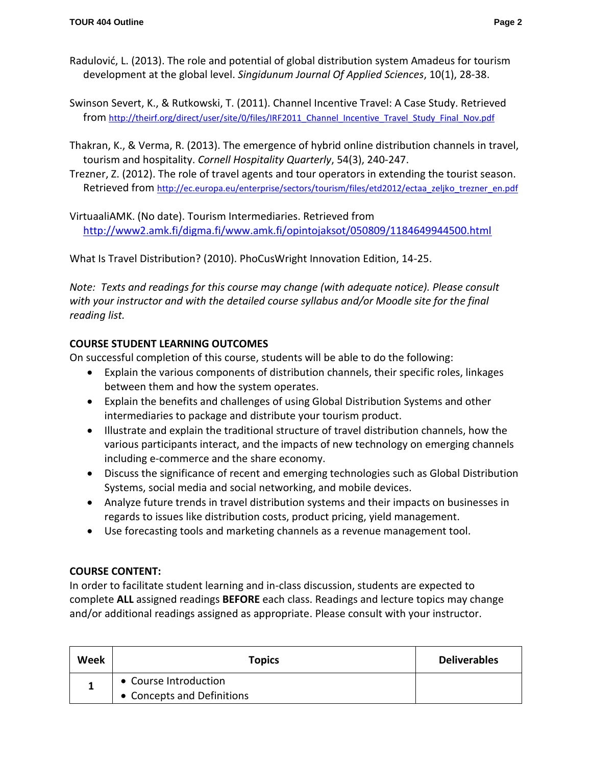- Radulović, L. (2013). The role and potential of global distribution system Amadeus for tourism development at the global level. *Singidunum Journal Of Applied Sciences*, 10(1), 28-38.
- Swinson Severt, K., & Rutkowski, T. (2011). Channel Incentive Travel: A Case Study. Retrieved from [http://theirf.org/direct/user/site/0/files/IRF2011\\_Channel\\_Incentive\\_Travel\\_Study\\_Final\\_Nov.pdf](http://theirf.org/direct/user/site/0/files/IRF2011_Channel_Incentive_Travel_Study_Final_Nov.pdf)
- Thakran, K., & Verma, R. (2013). The emergence of hybrid online distribution channels in travel, tourism and hospitality. *Cornell Hospitality Quarterly*, 54(3), 240-247.
- Trezner, Z. (2012). The role of travel agents and tour operators in extending the tourist season. Retrieved from [http://ec.europa.eu/enterprise/sectors/tourism/files/etd2012/ectaa\\_zeljko\\_trezner\\_en.pdf](http://ec.europa.eu/enterprise/sectors/tourism/files/etd2012/ectaa_zeljko_trezner_en.pdf)

VirtuaaliAMK. (No date). Tourism Intermediaries. Retrieved from <http://www2.amk.fi/digma.fi/www.amk.fi/opintojaksot/050809/1184649944500.html>

What Is Travel Distribution? (2010). PhoCusWright Innovation Edition, 14-25.

*Note: Texts and readings for this course may change (with adequate notice). Please consult with your instructor and with the detailed course syllabus and/or Moodle site for the final reading list.* 

# **COURSE STUDENT LEARNING OUTCOMES**

On successful completion of this course, students will be able to do the following:

- Explain the various components of distribution channels, their specific roles, linkages between them and how the system operates.
- Explain the benefits and challenges of using Global Distribution Systems and other intermediaries to package and distribute your tourism product.
- Illustrate and explain the traditional structure of travel distribution channels, how the various participants interact, and the impacts of new technology on emerging channels including e-commerce and the share economy.
- Discuss the significance of recent and emerging technologies such as Global Distribution Systems, social media and social networking, and mobile devices.
- Analyze future trends in travel distribution systems and their impacts on businesses in regards to issues like distribution costs, product pricing, yield management.
- Use forecasting tools and marketing channels as a revenue management tool.

# **COURSE CONTENT:**

In order to facilitate student learning and in-class discussion, students are expected to complete **ALL** assigned readings **BEFORE** each class. Readings and lecture topics may change and/or additional readings assigned as appropriate. Please consult with your instructor.

| Week | <b>Topics</b>                                       | <b>Deliverables</b> |
|------|-----------------------------------------------------|---------------------|
|      | • Course Introduction<br>• Concepts and Definitions |                     |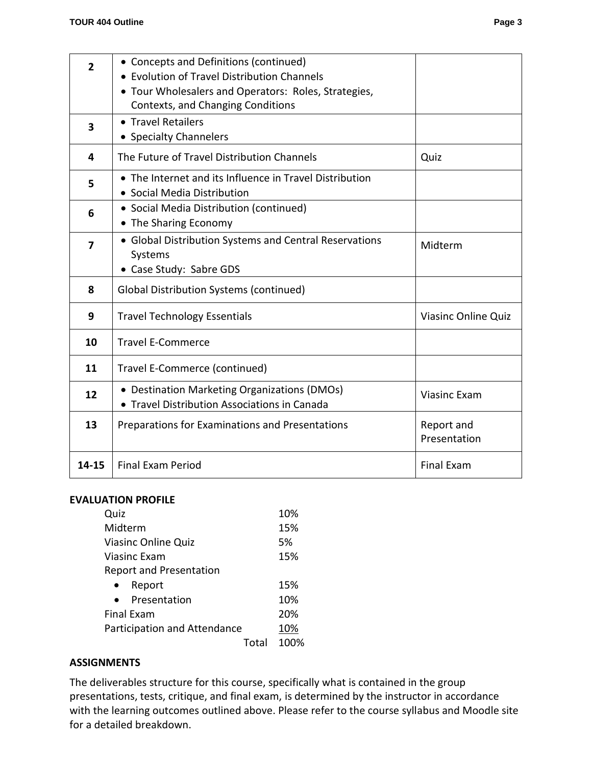| $\overline{2}$ | • Concepts and Definitions (continued)<br>• Evolution of Travel Distribution Channels<br>• Tour Wholesalers and Operators: Roles, Strategies, |                            |
|----------------|-----------------------------------------------------------------------------------------------------------------------------------------------|----------------------------|
|                | Contexts, and Changing Conditions                                                                                                             |                            |
| 3              | • Travel Retailers<br>• Specialty Channelers                                                                                                  |                            |
| 4              | The Future of Travel Distribution Channels                                                                                                    | Quiz                       |
| 5              | • The Internet and its Influence in Travel Distribution<br>• Social Media Distribution                                                        |                            |
| 6              | • Social Media Distribution (continued)<br>• The Sharing Economy                                                                              |                            |
| $\overline{7}$ | • Global Distribution Systems and Central Reservations<br>Systems<br>• Case Study: Sabre GDS                                                  | Midterm                    |
| 8              | <b>Global Distribution Systems (continued)</b>                                                                                                |                            |
| 9              | <b>Travel Technology Essentials</b>                                                                                                           | <b>Viasinc Online Quiz</b> |
| 10             | <b>Travel E-Commerce</b>                                                                                                                      |                            |
| 11             | Travel E-Commerce (continued)                                                                                                                 |                            |
| 12             | • Destination Marketing Organizations (DMOs)<br>• Travel Distribution Associations in Canada                                                  | <b>Viasinc Exam</b>        |
| 13             | Preparations for Examinations and Presentations                                                                                               | Report and<br>Presentation |
| 14-15          | <b>Final Exam Period</b>                                                                                                                      | <b>Final Exam</b>          |

#### **EVALUATION PROFILE**

| Quiz                           | 10%  |
|--------------------------------|------|
| Midterm                        | 15%  |
| Viasinc Online Quiz            | 5%   |
| Viasinc Exam                   | 15%  |
| <b>Report and Presentation</b> |      |
| Report                         | 15%  |
| Presentation                   | 10%  |
| <b>Final Exam</b>              | 20%  |
| Participation and Attendance   | 10%  |
| Total                          | 100% |

#### **ASSIGNMENTS**

The deliverables structure for this course, specifically what is contained in the group presentations, tests, critique, and final exam, is determined by the instructor in accordance with the learning outcomes outlined above. Please refer to the course syllabus and Moodle site for a detailed breakdown.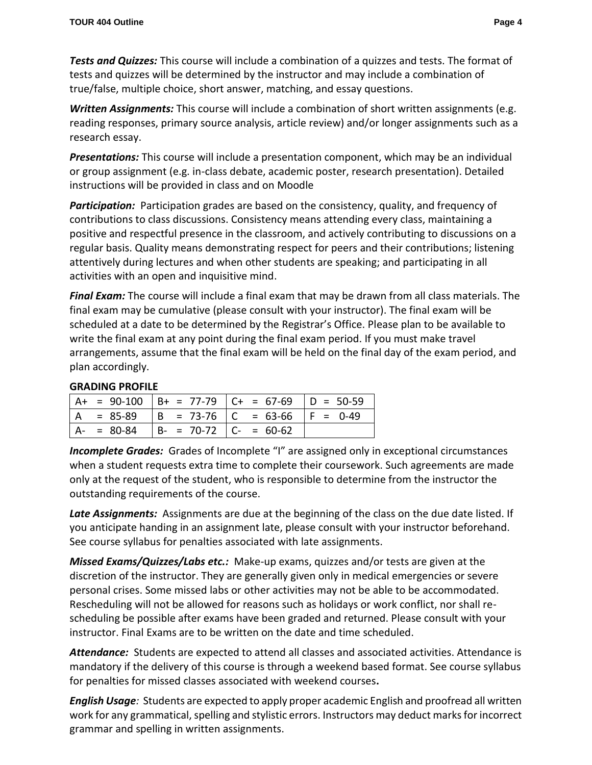*Tests and Quizzes:* This course will include a combination of a quizzes and tests. The format of tests and quizzes will be determined by the instructor and may include a combination of true/false, multiple choice, short answer, matching, and essay questions.

*Written Assignments:* This course will include a combination of short written assignments (e.g. reading responses, primary source analysis, article review) and/or longer assignments such as a research essay.

*Presentations:* This course will include a presentation component, which may be an individual or group assignment (e.g. in-class debate, academic poster, research presentation). Detailed instructions will be provided in class and on Moodle

*Participation:* Participation grades are based on the consistency, quality, and frequency of contributions to class discussions. Consistency means attending every class, maintaining a positive and respectful presence in the classroom, and actively contributing to discussions on a regular basis. Quality means demonstrating respect for peers and their contributions; listening attentively during lectures and when other students are speaking; and participating in all activities with an open and inquisitive mind.

*Final Exam:* The course will include a final exam that may be drawn from all class materials. The final exam may be cumulative (please consult with your instructor). The final exam will be scheduled at a date to be determined by the Registrar's Office. Please plan to be available to write the final exam at any point during the final exam period. If you must make travel arrangements, assume that the final exam will be held on the final day of the exam period, and plan accordingly.

# **GRADING PROFILE**

|  |                                           | $  A + = 90-100   B + = 77-79   C + = 67-69   D = 50-59$ |  |
|--|-------------------------------------------|----------------------------------------------------------|--|
|  |                                           | $ A = 85-89$ $ B = 73-76$ $ C = 63-66$ $ F = 0-49$       |  |
|  | $ A- = 80-84$ $ B- = 70-72$ $ C- = 60-62$ |                                                          |  |

**Incomplete Grades:** Grades of Incomplete "I" are assigned only in exceptional circumstances when a student requests extra time to complete their coursework. Such agreements are made only at the request of the student, who is responsible to determine from the instructor the outstanding requirements of the course.

*Late Assignments:*Assignments are due at the beginning of the class on the due date listed. If you anticipate handing in an assignment late, please consult with your instructor beforehand. See course syllabus for penalties associated with late assignments.

*Missed Exams/Quizzes/Labs etc.:* Make-up exams, quizzes and/or tests are given at the discretion of the instructor. They are generally given only in medical emergencies or severe personal crises. Some missed labs or other activities may not be able to be accommodated. Rescheduling will not be allowed for reasons such as holidays or work conflict, nor shall rescheduling be possible after exams have been graded and returned. Please consult with your instructor. Final Exams are to be written on the date and time scheduled.

*Attendance:*Students are expected to attend all classes and associated activities. Attendance is mandatory if the delivery of this course is through a weekend based format. See course syllabus for penalties for missed classes associated with weekend courses**.**

*English Usage:* Students are expected to apply proper academic English and proofread all written work for any grammatical, spelling and stylistic errors. Instructors may deduct marks for incorrect grammar and spelling in written assignments.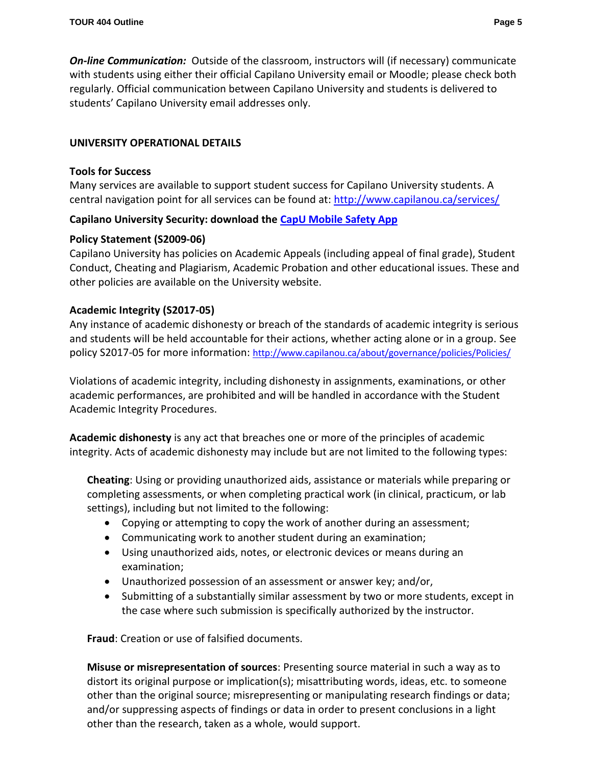*On-line Communication:* Outside of the classroom, instructors will (if necessary) communicate with students using either their official Capilano University email or Moodle; please check both regularly. Official communication between Capilano University and students is delivered to students' Capilano University email addresses only.

# **UNIVERSITY OPERATIONAL DETAILS**

#### **Tools for Success**

Many services are available to support student success for Capilano University students. A central navigation point for all services can be found at:<http://www.capilanou.ca/services/>

# **Capilano University Security: download the [CapU Mobile Safety App](https://www.capilanou.ca/services/safety-security/CapU-Mobile-Safety-App/)**

# **Policy Statement (S2009-06)**

Capilano University has policies on Academic Appeals (including appeal of final grade), Student Conduct, Cheating and Plagiarism, Academic Probation and other educational issues. These and other policies are available on the University website.

# **Academic Integrity (S2017-05)**

Any instance of academic dishonesty or breach of the standards of academic integrity is serious and students will be held accountable for their actions, whether acting alone or in a group. See policy S2017-05 for more information: <http://www.capilanou.ca/about/governance/policies/Policies/>

Violations of academic integrity, including dishonesty in assignments, examinations, or other academic performances, are prohibited and will be handled in accordance with the Student Academic Integrity Procedures.

**Academic dishonesty** is any act that breaches one or more of the principles of academic integrity. Acts of academic dishonesty may include but are not limited to the following types:

**Cheating**: Using or providing unauthorized aids, assistance or materials while preparing or completing assessments, or when completing practical work (in clinical, practicum, or lab settings), including but not limited to the following:

- Copying or attempting to copy the work of another during an assessment;
- Communicating work to another student during an examination;
- Using unauthorized aids, notes, or electronic devices or means during an examination;
- Unauthorized possession of an assessment or answer key; and/or,
- Submitting of a substantially similar assessment by two or more students, except in the case where such submission is specifically authorized by the instructor.

**Fraud**: Creation or use of falsified documents.

**Misuse or misrepresentation of sources**: Presenting source material in such a way as to distort its original purpose or implication(s); misattributing words, ideas, etc. to someone other than the original source; misrepresenting or manipulating research findings or data; and/or suppressing aspects of findings or data in order to present conclusions in a light other than the research, taken as a whole, would support.